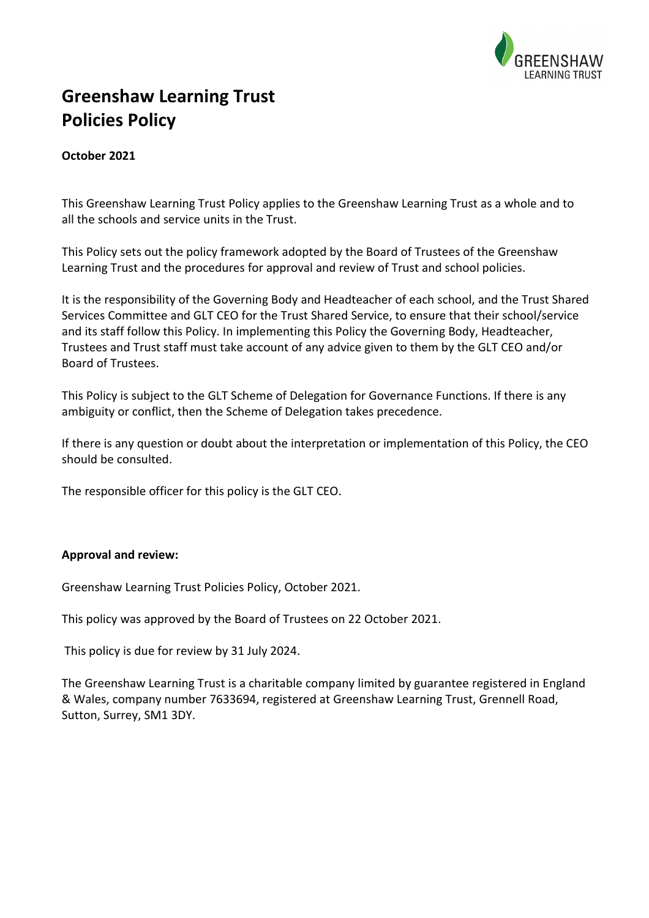

# **Greenshaw Learning Trust Policies Policy**

## **October 2021**

This Greenshaw Learning Trust Policy applies to the Greenshaw Learning Trust as a whole and to all the schools and service units in the Trust.

This Policy sets out the policy framework adopted by the Board of Trustees of the Greenshaw Learning Trust and the procedures for approval and review of Trust and school policies.

It is the responsibility of the Governing Body and Headteacher of each school, and the Trust Shared Services Committee and GLT CEO for the Trust Shared Service, to ensure that their school/service and its staff follow this Policy. In implementing this Policy the Governing Body, Headteacher, Trustees and Trust staff must take account of any advice given to them by the GLT CEO and/or Board of Trustees.

This Policy is subject to the GLT Scheme of Delegation for Governance Functions. If there is any ambiguity or conflict, then the Scheme of Delegation takes precedence.

If there is any question or doubt about the interpretation or implementation of this Policy, the CEO should be consulted.

The responsible officer for this policy is the GLT CEO.

#### **Approval and review:**

Greenshaw Learning Trust Policies Policy, October 2021.

This policy was approved by the Board of Trustees on 22 October 2021.

This policy is due for review by 31 July 2024.

The Greenshaw Learning Trust is a charitable company limited by guarantee registered in England & Wales, company number 7633694, registered at Greenshaw Learning Trust, Grennell Road, Sutton, Surrey, SM1 3DY.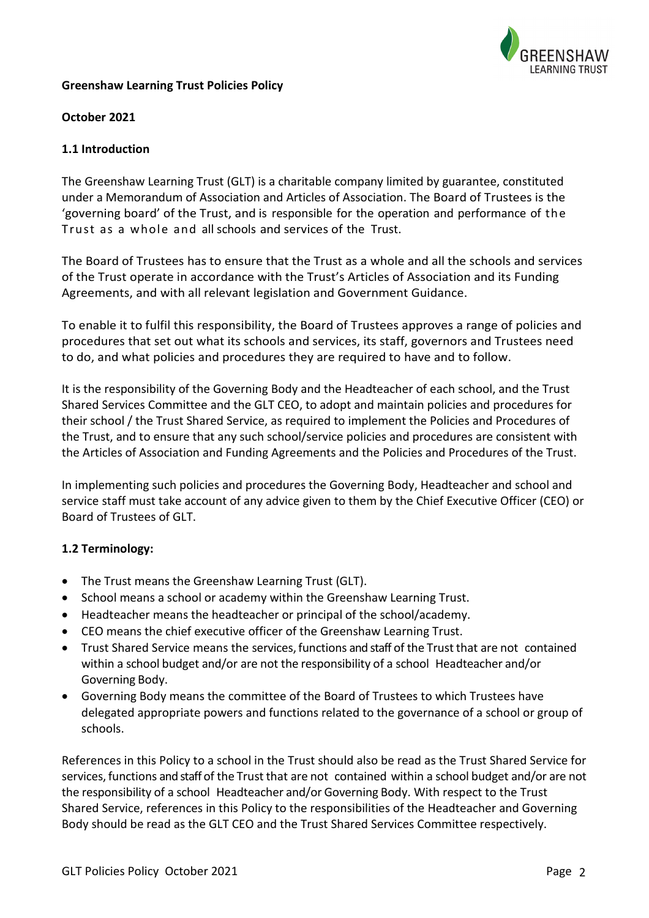

#### **Greenshaw Learning Trust Policies Policy**

#### **October 2021**

#### **1.1 Introduction**

The Greenshaw Learning Trust (GLT) is a charitable company limited by guarantee, constituted under a Memorandum of Association and Articles of Association. The Board of Trustees is the 'governing board' of the Trust, and is responsible for the operation and performance of the Trust as a whole and all schools and services of the Trust.

The Board of Trustees has to ensure that the Trust as a whole and all the schools and services of the Trust operate in accordance with the Trust's Articles of Association and its Funding Agreements, and with all relevant legislation and Government Guidance.

To enable it to fulfil this responsibility, the Board of Trustees approves a range of policies and procedures that set out what its schools and services, its staff, governors and Trustees need to do, and what policies and procedures they are required to have and to follow.

It is the responsibility of the Governing Body and the Headteacher of each school, and the Trust Shared Services Committee and the GLT CEO, to adopt and maintain policies and procedures for their school / the Trust Shared Service, as required to implement the Policies and Procedures of the Trust, and to ensure that any such school/service policies and procedures are consistent with the Articles of Association and Funding Agreements and the Policies and Procedures of the Trust.

In implementing such policies and procedures the Governing Body, Headteacher and school and service staff must take account of any advice given to them by the Chief Executive Officer (CEO) or Board of Trustees of GLT.

#### **1.2 Terminology:**

- The Trust means the Greenshaw Learning Trust (GLT).
- School means a school or academy within the Greenshaw Learning Trust.
- Headteacher means the headteacher or principal of the school/academy.
- CEO means the chief executive officer of the Greenshaw Learning Trust.
- Trust Shared Service means the services, functions and staff of the Trust that are not contained within a school budget and/or are not the responsibility of a school Headteacher and/or Governing Body.
- Governing Body means the committee of the Board of Trustees to which Trustees have delegated appropriate powers and functions related to the governance of a school or group of schools.

References in this Policy to a school in the Trust should also be read as the Trust Shared Service for services, functions and staff of the Trust that are not contained within a school budget and/or are not the responsibility of a school Headteacher and/or Governing Body. With respect to the Trust Shared Service, references in this Policy to the responsibilities of the Headteacher and Governing Body should be read as the GLT CEO and the Trust Shared Services Committee respectively.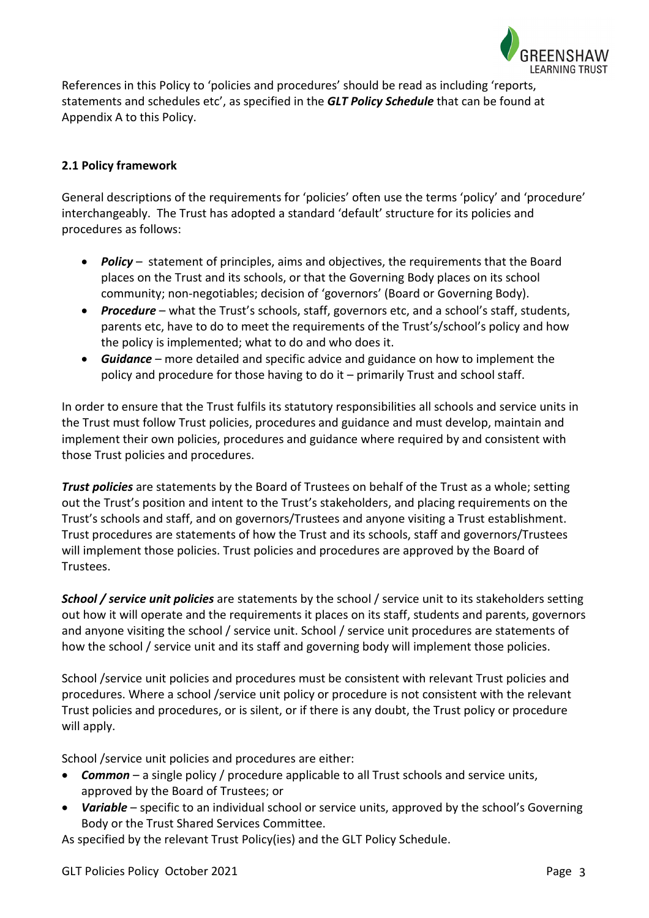

References in this Policy to 'policies and procedures' should be read as including 'reports, statements and schedules etc', as specified in the *GLT Policy Schedule* that can be found at Appendix A to this Policy.

# **2.1 Policy framework**

General descriptions of the requirements for 'policies' often use the terms 'policy' and 'procedure' interchangeably. The Trust has adopted a standard 'default' structure for its policies and procedures as follows:

- *Policy* statement of principles, aims and objectives, the requirements that the Board places on the Trust and its schools, or that the Governing Body places on its school community; non-negotiables; decision of 'governors' (Board or Governing Body).
- *Procedure* what the Trust's schools, staff, governors etc, and a school's staff, students, parents etc, have to do to meet the requirements of the Trust's/school's policy and how the policy is implemented; what to do and who does it.
- *Guidance* more detailed and specific advice and guidance on how to implement the policy and procedure for those having to do it – primarily Trust and school staff.

In order to ensure that the Trust fulfils its statutory responsibilities all schools and service units in the Trust must follow Trust policies, procedures and guidance and must develop, maintain and implement their own policies, procedures and guidance where required by and consistent with those Trust policies and procedures.

*Trust policies* are statements by the Board of Trustees on behalf of the Trust as a whole; setting out the Trust's position and intent to the Trust's stakeholders, and placing requirements on the Trust's schools and staff, and on governors/Trustees and anyone visiting a Trust establishment. Trust procedures are statements of how the Trust and its schools, staff and governors/Trustees will implement those policies. Trust policies and procedures are approved by the Board of Trustees.

*School / service unit policies* are statements by the school / service unit to its stakeholders setting out how it will operate and the requirements it places on its staff, students and parents, governors and anyone visiting the school / service unit. School / service unit procedures are statements of how the school / service unit and its staff and governing body will implement those policies.

School /service unit policies and procedures must be consistent with relevant Trust policies and procedures. Where a school /service unit policy or procedure is not consistent with the relevant Trust policies and procedures, or is silent, or if there is any doubt, the Trust policy or procedure will apply.

School /service unit policies and procedures are either:

- *Common* a single policy / procedure applicable to all Trust schools and service units, approved by the Board of Trustees; or
- *Variable* specific to an individual school or service units, approved by the school's Governing Body or the Trust Shared Services Committee.

As specified by the relevant Trust Policy(ies) and the GLT Policy Schedule.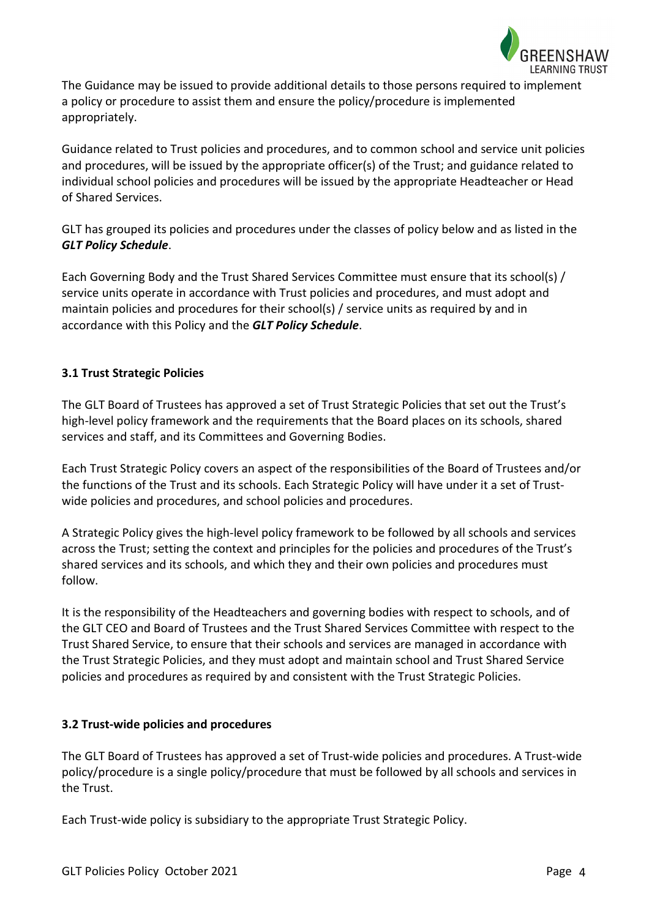

The Guidance may be issued to provide additional details to those persons required to implement a policy or procedure to assist them and ensure the policy/procedure is implemented appropriately.

Guidance related to Trust policies and procedures, and to common school and service unit policies and procedures, will be issued by the appropriate officer(s) of the Trust; and guidance related to individual school policies and procedures will be issued by the appropriate Headteacher or Head of Shared Services.

GLT has grouped its policies and procedures under the classes of policy below and as listed in the *GLT Policy Schedule*.

Each Governing Body and the Trust Shared Services Committee must ensure that its school(s) / service units operate in accordance with Trust policies and procedures, and must adopt and maintain policies and procedures for their school(s) / service units as required by and in accordance with this Policy and the *GLT Policy Schedule*.

## **3.1 Trust Strategic Policies**

The GLT Board of Trustees has approved a set of Trust Strategic Policies that set out the Trust's high-level policy framework and the requirements that the Board places on its schools, shared services and staff, and its Committees and Governing Bodies.

Each Trust Strategic Policy covers an aspect of the responsibilities of the Board of Trustees and/or the functions of the Trust and its schools. Each Strategic Policy will have under it a set of Trustwide policies and procedures, and school policies and procedures.

A Strategic Policy gives the high-level policy framework to be followed by all schools and services across the Trust; setting the context and principles for the policies and procedures of the Trust's shared services and its schools, and which they and their own policies and procedures must follow.

It is the responsibility of the Headteachers and governing bodies with respect to schools, and of the GLT CEO and Board of Trustees and the Trust Shared Services Committee with respect to the Trust Shared Service, to ensure that their schools and services are managed in accordance with the Trust Strategic Policies, and they must adopt and maintain school and Trust Shared Service policies and procedures as required by and consistent with the Trust Strategic Policies.

#### **3.2 Trust-wide policies and procedures**

The GLT Board of Trustees has approved a set of Trust-wide policies and procedures. A Trust-wide policy/procedure is a single policy/procedure that must be followed by all schools and services in the Trust.

Each Trust-wide policy is subsidiary to the appropriate Trust Strategic Policy.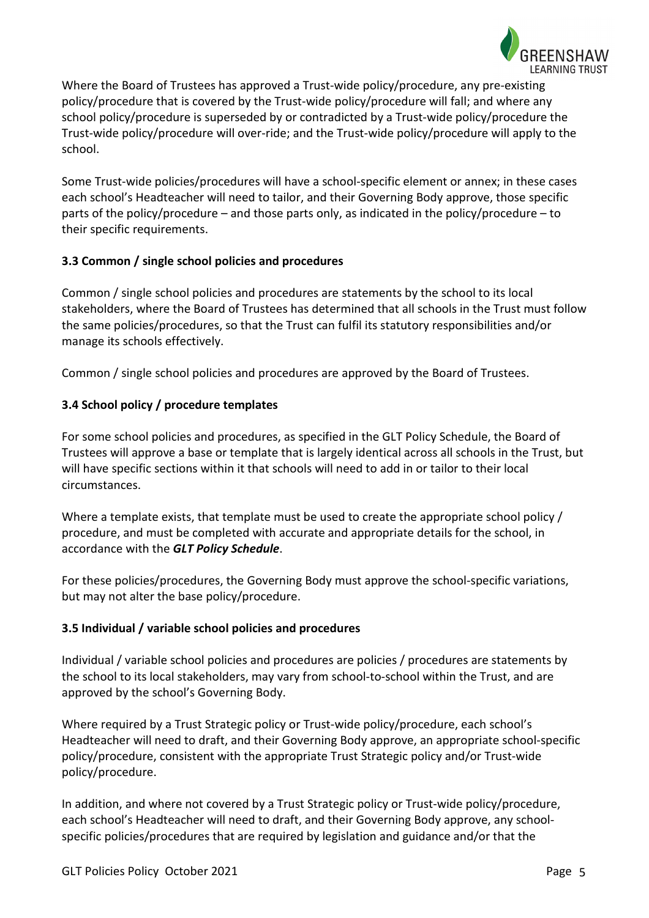

Where the Board of Trustees has approved a Trust-wide policy/procedure, any pre-existing policy/procedure that is covered by the Trust-wide policy/procedure will fall; and where any school policy/procedure is superseded by or contradicted by a Trust-wide policy/procedure the Trust-wide policy/procedure will over-ride; and the Trust-wide policy/procedure will apply to the school.

Some Trust-wide policies/procedures will have a school-specific element or annex; in these cases each school's Headteacher will need to tailor, and their Governing Body approve, those specific parts of the policy/procedure – and those parts only, as indicated in the policy/procedure – to their specific requirements.

## **3.3 Common / single school policies and procedures**

Common / single school policies and procedures are statements by the school to its local stakeholders, where the Board of Trustees has determined that all schools in the Trust must follow the same policies/procedures, so that the Trust can fulfil its statutory responsibilities and/or manage its schools effectively.

Common / single school policies and procedures are approved by the Board of Trustees.

# **3.4 School policy / procedure templates**

For some school policies and procedures, as specified in the GLT Policy Schedule, the Board of Trustees will approve a base or template that is largely identical across all schools in the Trust, but will have specific sections within it that schools will need to add in or tailor to their local circumstances.

Where a template exists, that template must be used to create the appropriate school policy / procedure, and must be completed with accurate and appropriate details for the school, in accordance with the *GLT Policy Schedule*.

For these policies/procedures, the Governing Body must approve the school-specific variations, but may not alter the base policy/procedure.

## **3.5 Individual / variable school policies and procedures**

Individual / variable school policies and procedures are policies / procedures are statements by the school to its local stakeholders, may vary from school-to-school within the Trust, and are approved by the school's Governing Body.

Where required by a Trust Strategic policy or Trust-wide policy/procedure, each school's Headteacher will need to draft, and their Governing Body approve, an appropriate school-specific policy/procedure, consistent with the appropriate Trust Strategic policy and/or Trust-wide policy/procedure.

In addition, and where not covered by a Trust Strategic policy or Trust-wide policy/procedure, each school's Headteacher will need to draft, and their Governing Body approve, any schoolspecific policies/procedures that are required by legislation and guidance and/or that the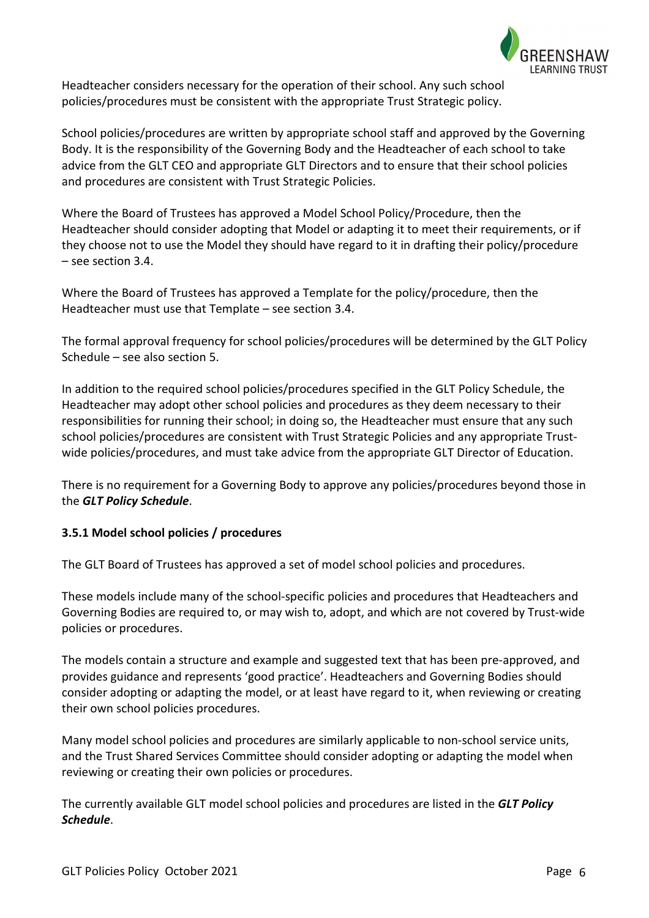

Headteacher considers necessary for the operation of their school. Any such school policies/procedures must be consistent with the appropriate Trust Strategic policy.

School policies/procedures are written by appropriate school staff and approved by the Governing Body. It is the responsibility of the Governing Body and the Headteacher of each school to take advice from the GLT CEO and appropriate GLT Directors and to ensure that their school policies and procedures are consistent with Trust Strategic Policies.

Where the Board of Trustees has approved a Model School Policy/Procedure, then the Headteacher should consider adopting that Model or adapting it to meet their requirements, or if they choose not to use the Model they should have regard to it in drafting their policy/procedure – see section 3.4.

Where the Board of Trustees has approved a Template for the policy/procedure, then the Headteacher must use that Template – see section 3.4.

The formal approval frequency for school policies/procedures will be determined by the GLT Policy Schedule – see also section 5.

In addition to the required school policies/procedures specified in the GLT Policy Schedule, the Headteacher may adopt other school policies and procedures as they deem necessary to their responsibilities for running their school; in doing so, the Headteacher must ensure that any such school policies/procedures are consistent with Trust Strategic Policies and any appropriate Trustwide policies/procedures, and must take advice from the appropriate GLT Director of Education.

There is no requirement for a Governing Body to approve any policies/procedures beyond those in the *GLT Policy Schedule*.

## **3.5.1 Model school policies / procedures**

The GLT Board of Trustees has approved a set of model school policies and procedures.

These models include many of the school-specific policies and procedures that Headteachers and Governing Bodies are required to, or may wish to, adopt, and which are not covered by Trust-wide policies or procedures.

The models contain a structure and example and suggested text that has been pre-approved, and provides guidance and represents 'good practice'. Headteachers and Governing Bodies should consider adopting or adapting the model, or at least have regard to it, when reviewing or creating their own school policies procedures.

Many model school policies and procedures are similarly applicable to non-school service units, and the Trust Shared Services Committee should consider adopting or adapting the model when reviewing or creating their own policies or procedures.

The currently available GLT model school policies and procedures are listed in the *GLT Policy Schedule*.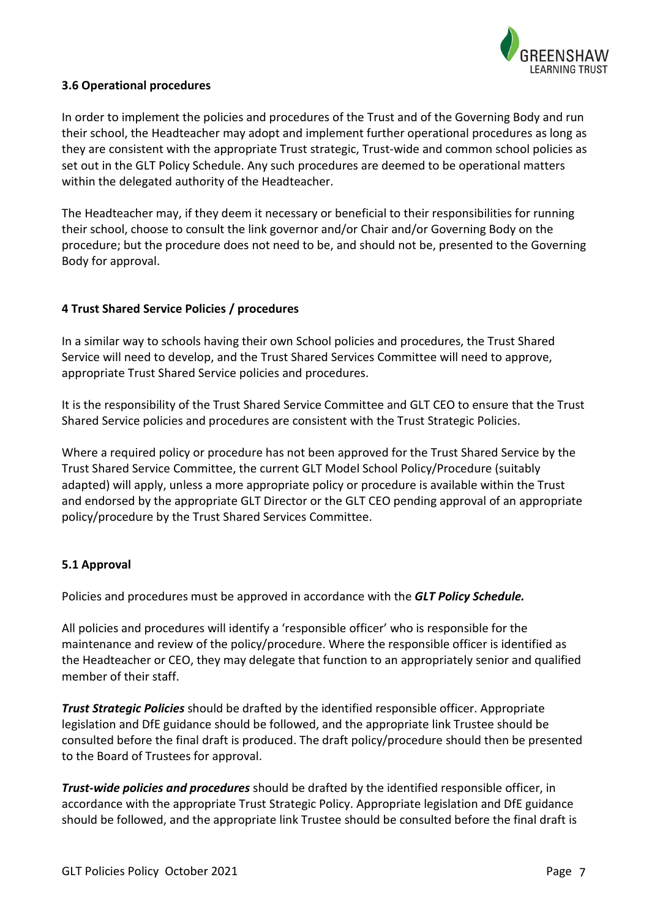

## **3.6 Operational procedures**

In order to implement the policies and procedures of the Trust and of the Governing Body and run their school, the Headteacher may adopt and implement further operational procedures as long as they are consistent with the appropriate Trust strategic, Trust-wide and common school policies as set out in the GLT Policy Schedule. Any such procedures are deemed to be operational matters within the delegated authority of the Headteacher.

The Headteacher may, if they deem it necessary or beneficial to their responsibilities for running their school, choose to consult the link governor and/or Chair and/or Governing Body on the procedure; but the procedure does not need to be, and should not be, presented to the Governing Body for approval.

## **4 Trust Shared Service Policies / procedures**

In a similar way to schools having their own School policies and procedures, the Trust Shared Service will need to develop, and the Trust Shared Services Committee will need to approve, appropriate Trust Shared Service policies and procedures.

It is the responsibility of the Trust Shared Service Committee and GLT CEO to ensure that the Trust Shared Service policies and procedures are consistent with the Trust Strategic Policies.

Where a required policy or procedure has not been approved for the Trust Shared Service by the Trust Shared Service Committee, the current GLT Model School Policy/Procedure (suitably adapted) will apply, unless a more appropriate policy or procedure is available within the Trust and endorsed by the appropriate GLT Director or the GLT CEO pending approval of an appropriate policy/procedure by the Trust Shared Services Committee.

## **5.1 Approval**

Policies and procedures must be approved in accordance with the *GLT Policy Schedule.*

All policies and procedures will identify a 'responsible officer' who is responsible for the maintenance and review of the policy/procedure. Where the responsible officer is identified as the Headteacher or CEO, they may delegate that function to an appropriately senior and qualified member of their staff.

*Trust Strategic Policies* should be drafted by the identified responsible officer. Appropriate legislation and DfE guidance should be followed, and the appropriate link Trustee should be consulted before the final draft is produced. The draft policy/procedure should then be presented to the Board of Trustees for approval.

*Trust-wide policies and procedures* should be drafted by the identified responsible officer, in accordance with the appropriate Trust Strategic Policy. Appropriate legislation and DfE guidance should be followed, and the appropriate link Trustee should be consulted before the final draft is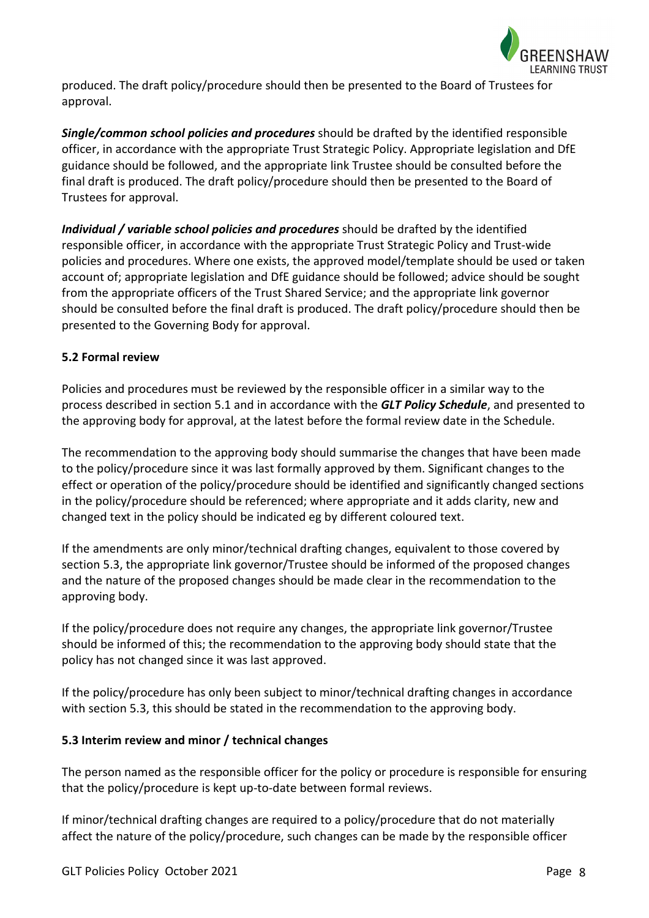

produced. The draft policy/procedure should then be presented to the Board of Trustees for approval.

*Single/common school policies and procedures* should be drafted by the identified responsible officer, in accordance with the appropriate Trust Strategic Policy. Appropriate legislation and DfE guidance should be followed, and the appropriate link Trustee should be consulted before the final draft is produced. The draft policy/procedure should then be presented to the Board of Trustees for approval.

*Individual / variable school policies and procedures* should be drafted by the identified responsible officer, in accordance with the appropriate Trust Strategic Policy and Trust-wide policies and procedures. Where one exists, the approved model/template should be used or taken account of; appropriate legislation and DfE guidance should be followed; advice should be sought from the appropriate officers of the Trust Shared Service; and the appropriate link governor should be consulted before the final draft is produced. The draft policy/procedure should then be presented to the Governing Body for approval.

## **5.2 Formal review**

Policies and procedures must be reviewed by the responsible officer in a similar way to the process described in section 5.1 and in accordance with the *GLT Policy Schedule*, and presented to the approving body for approval, at the latest before the formal review date in the Schedule.

The recommendation to the approving body should summarise the changes that have been made to the policy/procedure since it was last formally approved by them. Significant changes to the effect or operation of the policy/procedure should be identified and significantly changed sections in the policy/procedure should be referenced; where appropriate and it adds clarity, new and changed text in the policy should be indicated eg by different coloured text.

If the amendments are only minor/technical drafting changes, equivalent to those covered by section 5.3, the appropriate link governor/Trustee should be informed of the proposed changes and the nature of the proposed changes should be made clear in the recommendation to the approving body.

If the policy/procedure does not require any changes, the appropriate link governor/Trustee should be informed of this; the recommendation to the approving body should state that the policy has not changed since it was last approved.

If the policy/procedure has only been subject to minor/technical drafting changes in accordance with section 5.3, this should be stated in the recommendation to the approving body.

## **5.3 Interim review and minor / technical changes**

The person named as the responsible officer for the policy or procedure is responsible for ensuring that the policy/procedure is kept up-to-date between formal reviews.

If minor/technical drafting changes are required to a policy/procedure that do not materially affect the nature of the policy/procedure, such changes can be made by the responsible officer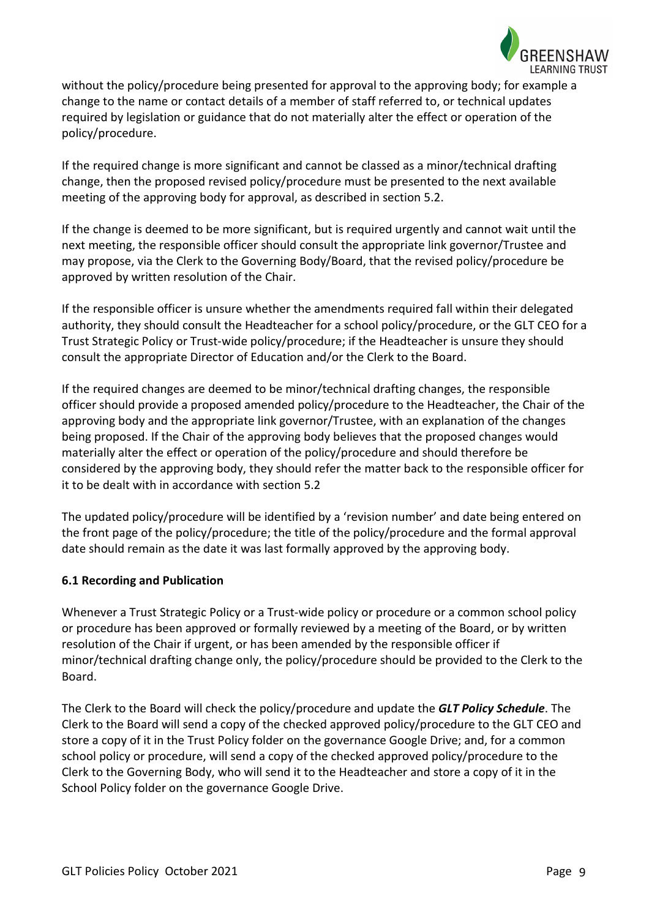

without the policy/procedure being presented for approval to the approving body; for example a change to the name or contact details of a member of staff referred to, or technical updates required by legislation or guidance that do not materially alter the effect or operation of the policy/procedure.

If the required change is more significant and cannot be classed as a minor/technical drafting change, then the proposed revised policy/procedure must be presented to the next available meeting of the approving body for approval, as described in section 5.2.

If the change is deemed to be more significant, but is required urgently and cannot wait until the next meeting, the responsible officer should consult the appropriate link governor/Trustee and may propose, via the Clerk to the Governing Body/Board, that the revised policy/procedure be approved by written resolution of the Chair.

If the responsible officer is unsure whether the amendments required fall within their delegated authority, they should consult the Headteacher for a school policy/procedure, or the GLT CEO for a Trust Strategic Policy or Trust-wide policy/procedure; if the Headteacher is unsure they should consult the appropriate Director of Education and/or the Clerk to the Board.

If the required changes are deemed to be minor/technical drafting changes, the responsible officer should provide a proposed amended policy/procedure to the Headteacher, the Chair of the approving body and the appropriate link governor/Trustee, with an explanation of the changes being proposed. If the Chair of the approving body believes that the proposed changes would materially alter the effect or operation of the policy/procedure and should therefore be considered by the approving body, they should refer the matter back to the responsible officer for it to be dealt with in accordance with section 5.2

The updated policy/procedure will be identified by a 'revision number' and date being entered on the front page of the policy/procedure; the title of the policy/procedure and the formal approval date should remain as the date it was last formally approved by the approving body.

## **6.1 Recording and Publication**

Whenever a Trust Strategic Policy or a Trust-wide policy or procedure or a common school policy or procedure has been approved or formally reviewed by a meeting of the Board, or by written resolution of the Chair if urgent, or has been amended by the responsible officer if minor/technical drafting change only, the policy/procedure should be provided to the Clerk to the Board.

The Clerk to the Board will check the policy/procedure and update the *GLT Policy Schedule*. The Clerk to the Board will send a copy of the checked approved policy/procedure to the GLT CEO and store a copy of it in the Trust Policy folder on the governance Google Drive; and, for a common school policy or procedure, will send a copy of the checked approved policy/procedure to the Clerk to the Governing Body, who will send it to the Headteacher and store a copy of it in the School Policy folder on the governance Google Drive.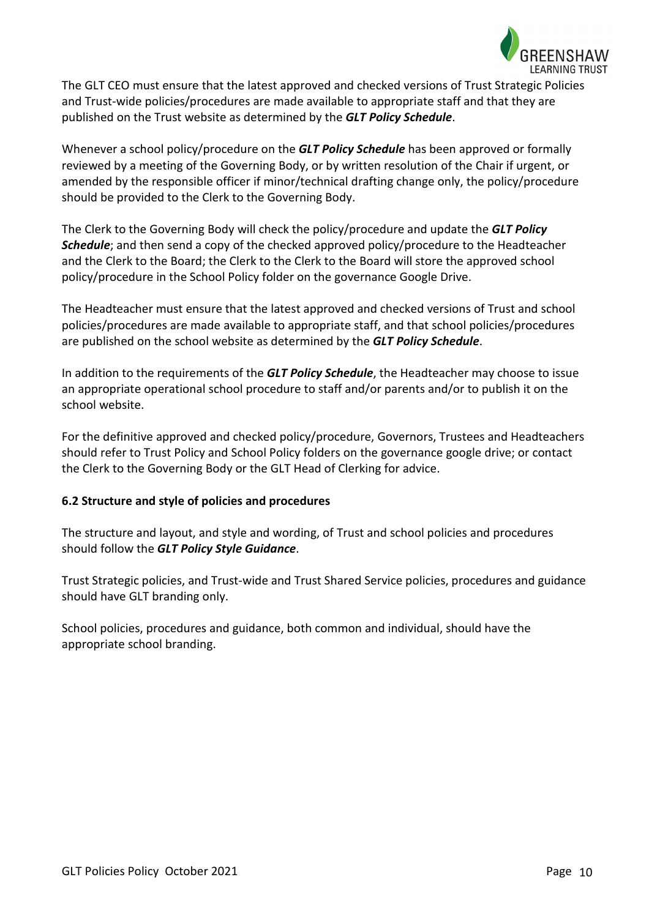

The GLT CEO must ensure that the latest approved and checked versions of Trust Strategic Policies and Trust-wide policies/procedures are made available to appropriate staff and that they are published on the Trust website as determined by the *GLT Policy Schedule*.

Whenever a school policy/procedure on the *GLT Policy Schedule* has been approved or formally reviewed by a meeting of the Governing Body, or by written resolution of the Chair if urgent, or amended by the responsible officer if minor/technical drafting change only, the policy/procedure should be provided to the Clerk to the Governing Body.

The Clerk to the Governing Body will check the policy/procedure and update the *GLT Policy Schedule*; and then send a copy of the checked approved policy/procedure to the Headteacher and the Clerk to the Board; the Clerk to the Clerk to the Board will store the approved school policy/procedure in the School Policy folder on the governance Google Drive.

The Headteacher must ensure that the latest approved and checked versions of Trust and school policies/procedures are made available to appropriate staff, and that school policies/procedures are published on the school website as determined by the *GLT Policy Schedule*.

In addition to the requirements of the *GLT Policy Schedule*, the Headteacher may choose to issue an appropriate operational school procedure to staff and/or parents and/or to publish it on the school website.

For the definitive approved and checked policy/procedure, Governors, Trustees and Headteachers should refer to Trust Policy and School Policy folders on the governance google drive; or contact the Clerk to the Governing Body or the GLT Head of Clerking for advice.

## **6.2 Structure and style of policies and procedures**

The structure and layout, and style and wording, of Trust and school policies and procedures should follow the *GLT Policy Style Guidance*.

Trust Strategic policies, and Trust-wide and Trust Shared Service policies, procedures and guidance should have GLT branding only.

School policies, procedures and guidance, both common and individual, should have the appropriate school branding.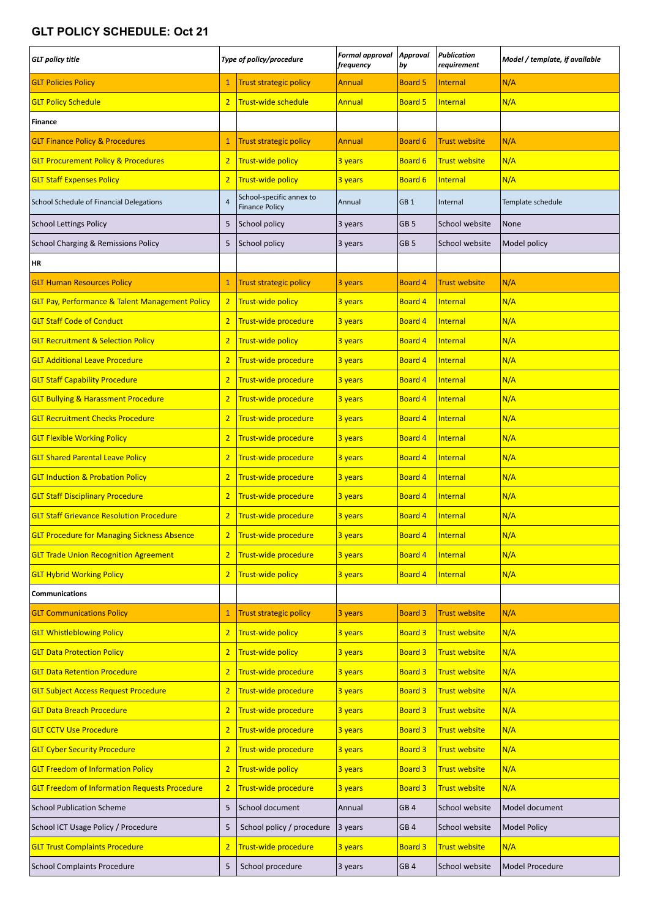# **GLT POLICY SCHEDULE: Oct 21**

| <b>GLT</b> policy title                                    | Type of policy/procedure |                                                   | <b>Formal approval</b><br>frequency | Approval<br>by  | <b>Publication</b><br>requirement | Model / template, if available |
|------------------------------------------------------------|--------------------------|---------------------------------------------------|-------------------------------------|-----------------|-----------------------------------|--------------------------------|
| <b>GLT Policies Policy</b>                                 | $\mathbf{1}$             | <b>Trust strategic policy</b>                     | Annual                              | <b>Board 5</b>  | Internal                          | N/A                            |
| <b>GLT Policy Schedule</b>                                 | $\overline{2}$           | Trust-wide schedule                               | <b>Annual</b>                       | <b>Board 5</b>  | Internal                          | N/A                            |
| Finance                                                    |                          |                                                   |                                     |                 |                                   |                                |
| <b>GLT Finance Policy &amp; Procedures</b>                 | $\mathbf{1}$             | <b>Trust strategic policy</b>                     | Annual                              | Board 6         | <b>Trust website</b>              | N/A                            |
| <b>GLT Procurement Policy &amp; Procedures</b>             | $\overline{2}$           | Trust-wide policy                                 | 3 years                             | <b>Board 6</b>  | <b>Trust website</b>              | N/A                            |
| <b>GLT Staff Expenses Policy</b>                           | $\overline{2}$           | <b>Trust-wide policy</b>                          | 3 years                             | <b>Board 6</b>  | Internal                          | N/A                            |
| School Schedule of Financial Delegations                   | $\overline{4}$           | School-specific annex to<br><b>Finance Policy</b> | Annual                              | GB <sub>1</sub> | Internal                          | Template schedule              |
| <b>School Lettings Policy</b>                              | 5                        | School policy                                     | 3 years                             | GB <sub>5</sub> | School website                    | None                           |
| School Charging & Remissions Policy                        | 5                        | School policy                                     | 3 years                             | GB <sub>5</sub> | School website                    | Model policy                   |
| HR                                                         |                          |                                                   |                                     |                 |                                   |                                |
| <b>GLT Human Resources Policy</b>                          | $\mathbf{1}$             | <b>Trust strategic policy</b>                     | 3 years                             | <b>Board 4</b>  | <b>Trust website</b>              | N/A                            |
| <b>GLT Pay, Performance &amp; Talent Management Policy</b> | $\overline{2}$           | Trust-wide policy                                 | 3 years                             | <b>Board 4</b>  | Internal                          | N/A                            |
| <b>GLT Staff Code of Conduct</b>                           | $\overline{2}$           | Trust-wide procedure                              | 3 years                             | <b>Board 4</b>  | Internal                          | N/A                            |
| <b>GLT Recruitment &amp; Selection Policy</b>              | $\overline{2}$           | <b>Trust-wide policy</b>                          | 3 years                             | <b>Board 4</b>  | Internal                          | N/A                            |
| <b>GLT Additional Leave Procedure</b>                      | $\overline{2}$           | Trust-wide procedure                              | 3 years                             | <b>Board 4</b>  | Internal                          | N/A                            |
| <b>GLT Staff Capability Procedure</b>                      | $\overline{2}$           | Trust-wide procedure                              | 3 years                             | <b>Board 4</b>  | Internal                          | N/A                            |
| <b>GLT Bullying &amp; Harassment Procedure</b>             | $\overline{2}$           | Trust-wide procedure                              | 3 years                             | <b>Board 4</b>  | Internal                          | N/A                            |
| <b>GLT Recruitment Checks Procedure</b>                    | $\overline{2}$           | Trust-wide procedure                              | 3 years                             | <b>Board 4</b>  | Internal                          | N/A                            |
| <b>GLT Flexible Working Policy</b>                         | $\overline{2}$           | Trust-wide procedure                              | 3 years                             | <b>Board 4</b>  | Internal                          | N/A                            |
| <b>GLT Shared Parental Leave Policy</b>                    | $\overline{2}$           | Trust-wide procedure                              | 3 years                             | <b>Board 4</b>  | Internal                          | N/A                            |
| <b>GLT Induction &amp; Probation Policy</b>                | $\overline{2}$           | Trust-wide procedure                              | 3 years                             | <b>Board 4</b>  | Internal                          | N/A                            |
| <b>GLT Staff Disciplinary Procedure</b>                    | $\overline{2}$           | Trust-wide procedure                              | 3 years                             | <b>Board 4</b>  | Internal                          | N/A                            |
| <b>GLT Staff Grievance Resolution Procedure</b>            | $\overline{2}$           | Trust-wide procedure                              | 3 years                             | <b>Board 4</b>  | Internal                          | N/A                            |
| <b>GLT Procedure for Managing Sickness Absence</b>         | $\overline{2}$           | Trust-wide procedure                              | 3 years                             | <b>Board 4</b>  | Internal                          | N/A                            |
| <b>GLT Trade Union Recognition Agreement</b>               | $\overline{2}$           | Trust-wide procedure                              | 3 years                             | <b>Board 4</b>  | Internal                          | N/A                            |
| <b>GLT Hybrid Working Policy</b>                           | $\overline{2}$           | <b>Trust-wide policy</b>                          | 3 years                             | <b>Board 4</b>  | Internal                          | N/A                            |
| <b>Communications</b>                                      |                          |                                                   |                                     |                 |                                   |                                |
| <b>GLT Communications Policy</b>                           | $\mathbf{1}$             | <b>Trust strategic policy</b>                     | 3 years                             | <b>Board 3</b>  | <b>Trust website</b>              | N/A                            |
| <b>GLT Whistleblowing Policy</b>                           | $\overline{2}$           | <b>Trust-wide policy</b>                          | 3 years                             | <b>Board 3</b>  | <b>Trust website</b>              | N/A                            |
| <b>GLT Data Protection Policy</b>                          | $\overline{2}$           | <b>Trust-wide policy</b>                          | 3 years                             | <b>Board 3</b>  | <b>Trust website</b>              | N/A                            |
| <b>GLT Data Retention Procedure</b>                        | $\overline{2}$           | Trust-wide procedure                              | 3 years                             | <b>Board 3</b>  | <b>Trust website</b>              | N/A                            |
| <b>GLT Subject Access Request Procedure</b>                | $\overline{2}$           | Trust-wide procedure                              | 3 years                             | <b>Board 3</b>  | <b>Trust website</b>              | N/A                            |
| <b>GLT Data Breach Procedure</b>                           | $\overline{2}$           | Trust-wide procedure                              | 3 years                             | <b>Board 3</b>  | <b>Trust website</b>              | N/A                            |
| <b>GLT CCTV Use Procedure</b>                              | $\overline{2}$           | Trust-wide procedure                              | 3 years                             | <b>Board 3</b>  | <b>Trust website</b>              | N/A                            |
| <b>GLT Cyber Security Procedure</b>                        | $\overline{2}$           | Trust-wide procedure                              | 3 years                             | <b>Board 3</b>  | <b>Trust website</b>              | N/A                            |
| <b>GLT Freedom of Information Policy</b>                   | $\overline{2}$           | <b>Trust-wide policy</b>                          | 3 years                             | <b>Board 3</b>  | <b>Trust website</b>              | N/A                            |
| <b>GLT Freedom of Information Requests Procedure</b>       | $\overline{2}$           | Trust-wide procedure                              | 3 years                             | <b>Board 3</b>  | <b>Trust website</b>              | N/A                            |
| <b>School Publication Scheme</b>                           | 5                        | School document                                   | Annual                              | GB <sub>4</sub> | School website                    | Model document                 |
| School ICT Usage Policy / Procedure                        | 5                        | School policy / procedure                         | 3 years                             | GB <sub>4</sub> | School website                    | <b>Model Policy</b>            |
| <b>GLT Trust Complaints Procedure</b>                      | $\overline{2}$           | Trust-wide procedure                              | 3 years                             | <b>Board 3</b>  | <b>Trust website</b>              | N/A                            |
| <b>School Complaints Procedure</b>                         | 5                        | School procedure                                  | 3 years                             | GB 4            | School website                    | Model Procedure                |